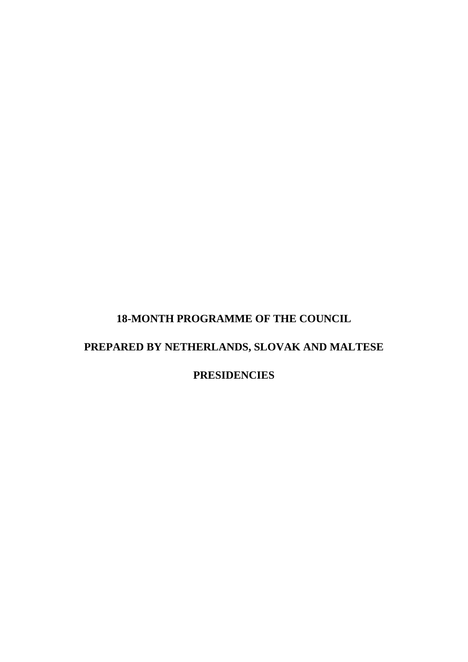# **18-MONTH PROGRAMME OF THE COUNCIL**

# **PREPARED BY NETHERLANDS, SLOVAK AND MALTESE**

**PRESIDENCIES**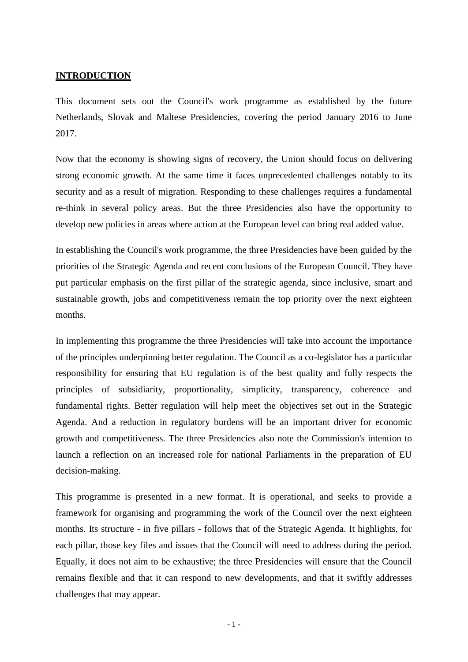#### **INTRODUCTION**

This document sets out the Council's work programme as established by the future Netherlands, Slovak and Maltese Presidencies, covering the period January 2016 to June 2017.

Now that the economy is showing signs of recovery, the Union should focus on delivering strong economic growth. At the same time it faces unprecedented challenges notably to its security and as a result of migration. Responding to these challenges requires a fundamental re-think in several policy areas. But the three Presidencies also have the opportunity to develop new policies in areas where action at the European level can bring real added value.

In establishing the Council's work programme, the three Presidencies have been guided by the priorities of the Strategic Agenda and recent conclusions of the European Council. They have put particular emphasis on the first pillar of the strategic agenda, since inclusive, smart and sustainable growth, jobs and competitiveness remain the top priority over the next eighteen months.

In implementing this programme the three Presidencies will take into account the importance of the principles underpinning better regulation. The Council as a co-legislator has a particular responsibility for ensuring that EU regulation is of the best quality and fully respects the principles of subsidiarity, proportionality, simplicity, transparency, coherence and fundamental rights. Better regulation will help meet the objectives set out in the Strategic Agenda. And a reduction in regulatory burdens will be an important driver for economic growth and competitiveness. The three Presidencies also note the Commission's intention to launch a reflection on an increased role for national Parliaments in the preparation of EU decision-making.

This programme is presented in a new format. It is operational, and seeks to provide a framework for organising and programming the work of the Council over the next eighteen months. Its structure - in five pillars - follows that of the Strategic Agenda. It highlights, for each pillar, those key files and issues that the Council will need to address during the period. Equally, it does not aim to be exhaustive; the three Presidencies will ensure that the Council remains flexible and that it can respond to new developments, and that it swiftly addresses challenges that may appear.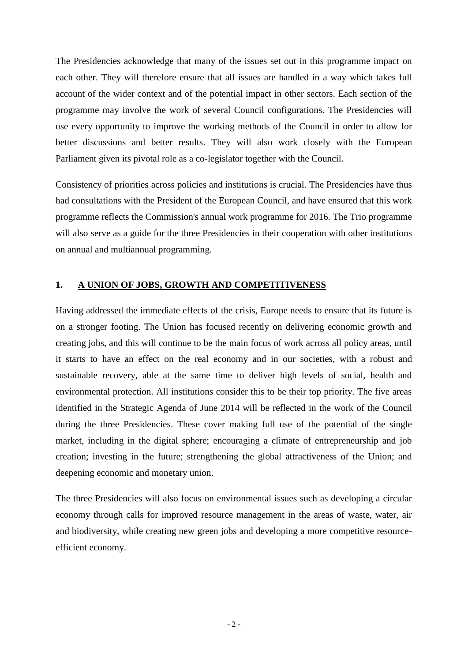The Presidencies acknowledge that many of the issues set out in this programme impact on each other. They will therefore ensure that all issues are handled in a way which takes full account of the wider context and of the potential impact in other sectors. Each section of the programme may involve the work of several Council configurations. The Presidencies will use every opportunity to improve the working methods of the Council in order to allow for better discussions and better results. They will also work closely with the European Parliament given its pivotal role as a co-legislator together with the Council.

Consistency of priorities across policies and institutions is crucial. The Presidencies have thus had consultations with the President of the European Council, and have ensured that this work programme reflects the Commission's annual work programme for 2016. The Trio programme will also serve as a guide for the three Presidencies in their cooperation with other institutions on annual and multiannual programming.

#### **1. A UNION OF JOBS, GROWTH AND COMPETITIVENESS**

Having addressed the immediate effects of the crisis, Europe needs to ensure that its future is on a stronger footing. The Union has focused recently on delivering economic growth and creating jobs, and this will continue to be the main focus of work across all policy areas, until it starts to have an effect on the real economy and in our societies, with a robust and sustainable recovery, able at the same time to deliver high levels of social, health and environmental protection. All institutions consider this to be their top priority. The five areas identified in the Strategic Agenda of June 2014 will be reflected in the work of the Council during the three Presidencies. These cover making full use of the potential of the single market, including in the digital sphere; encouraging a climate of entrepreneurship and job creation; investing in the future; strengthening the global attractiveness of the Union; and deepening economic and monetary union.

The three Presidencies will also focus on environmental issues such as developing a circular economy through calls for improved resource management in the areas of waste, water, air and biodiversity, while creating new green jobs and developing a more competitive resourceefficient economy.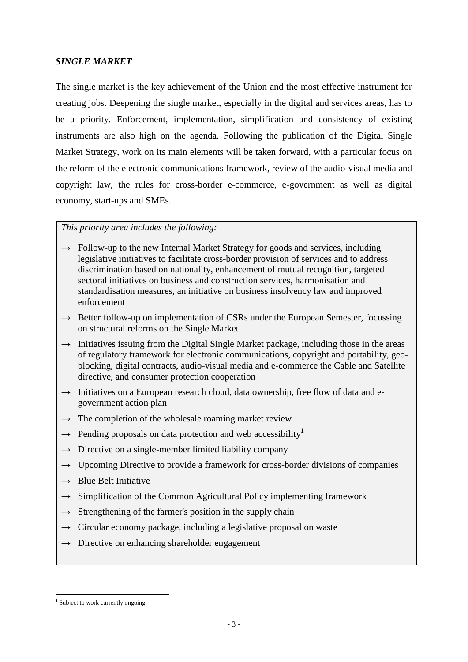### *SINGLE MARKET*

The single market is the key achievement of the Union and the most effective instrument for creating jobs. Deepening the single market, especially in the digital and services areas, has to be a priority. Enforcement, implementation, simplification and consistency of existing instruments are also high on the agenda. Following the publication of the Digital Single Market Strategy, work on its main elements will be taken forward, with a particular focus on the reform of the electronic communications framework, review of the audio-visual media and copyright law, the rules for cross-border e-commerce, e-government as well as digital economy, start-ups and SMEs.

- **→** Follow-up to the new Internal Market Strategy for goods and services, including legislative initiatives to facilitate cross-border provision of services and to address discrimination based on nationality, enhancement of mutual recognition, targeted sectoral initiatives on business and construction services, harmonisation and standardisation measures, an initiative on business insolvency law and improved enforcement
- → Better follow-up on implementation of CSRs under the European Semester, focussing on structural reforms on the Single Market
- $\rightarrow$  Initiatives issuing from the Digital Single Market package, including those in the areas of regulatory framework for electronic communications, copyright and portability, geoblocking, digital contracts, audio-visual media and e-commerce the Cable and Satellite directive, and consumer protection cooperation
- → Initiatives on a European research cloud, data ownership, free flow of data and egovernment action plan
- $\rightarrow$  The completion of the wholesale roaming market review
- $\rightarrow$  Pending proposals on data protection and web accessibility<sup>1</sup>
- **→** Directive on a single-member limited liability company
- → Upcoming Directive to provide a framework for cross-border divisions of companies
- **→** Blue Belt Initiative
- **→** Simplification of the Common Agricultural Policy implementing framework
- $\rightarrow$  Strengthening of the farmer's position in the supply chain
- **→** Circular economy package, including a legislative proposal on waste
- **→** Directive on enhancing shareholder engagement

<sup>&</sup>lt;u>.</u> <sup>1</sup> Subject to work currently ongoing.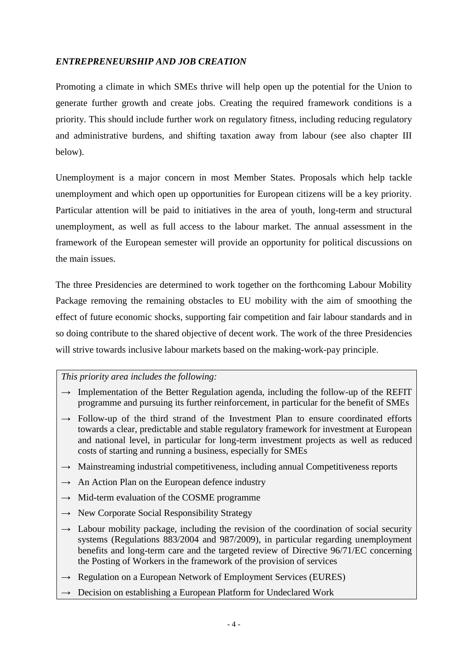### *ENTREPRENEURSHIP AND JOB CREATION*

Promoting a climate in which SMEs thrive will help open up the potential for the Union to generate further growth and create jobs. Creating the required framework conditions is a priority. This should include further work on regulatory fitness, including reducing regulatory and administrative burdens, and shifting taxation away from labour (see also chapter III below).

Unemployment is a major concern in most Member States. Proposals which help tackle unemployment and which open up opportunities for European citizens will be a key priority. Particular attention will be paid to initiatives in the area of youth, long-term and structural unemployment, as well as full access to the labour market. The annual assessment in the framework of the European semester will provide an opportunity for political discussions on the main issues.

The three Presidencies are determined to work together on the forthcoming Labour Mobility Package removing the remaining obstacles to EU mobility with the aim of smoothing the effect of future economic shocks, supporting fair competition and fair labour standards and in so doing contribute to the shared objective of decent work. The work of the three Presidencies will strive towards inclusive labour markets based on the making-work-pay principle.

- $\rightarrow$  Implementation of the Better Regulation agenda, including the follow-up of the REFIT programme and pursuing its further reinforcement, in particular for the benefit of SMEs
- $\rightarrow$  Follow-up of the third strand of the Investment Plan to ensure coordinated efforts towards a clear, predictable and stable regulatory framework for investment at European and national level, in particular for long-term investment projects as well as reduced costs of starting and running a business, especially for SMEs
- $\rightarrow$  Mainstreaming industrial competitiveness, including annual Competitiveness reports
- $\rightarrow$  An Action Plan on the European defence industry
- $\rightarrow$  Mid-term evaluation of the COSME programme
- $\rightarrow$  New Corporate Social Responsibility Strategy
- $\rightarrow$  Labour mobility package, including the revision of the coordination of social security systems (Regulations 883/2004 and 987/2009), in particular regarding unemployment benefits and long-term care and the targeted review of Directive 96/71/EC concerning the Posting of Workers in the framework of the provision of services
- $\rightarrow$  Regulation on a European Network of Employment Services (EURES)
- $\rightarrow$  Decision on establishing a European Platform for Undeclared Work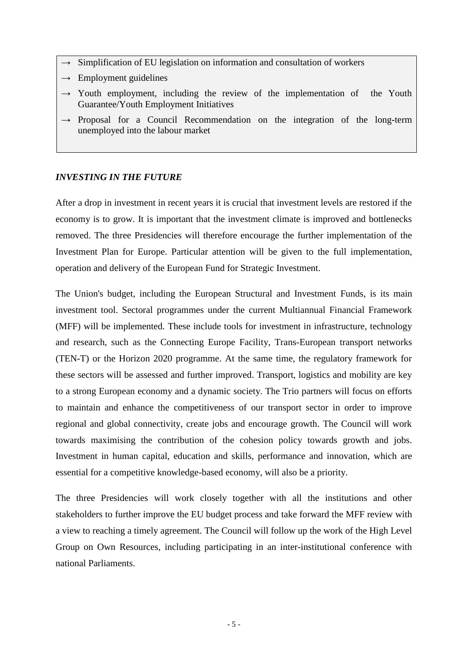- $\rightarrow$  Simplification of EU legislation on information and consultation of workers
- $\rightarrow$  Employment guidelines
- $\rightarrow$  Youth employment, including the review of the implementation of the Youth Guarantee/Youth Employment Initiatives
- $\rightarrow$  Proposal for a Council Recommendation on the integration of the long-term unemployed into the labour market

#### *INVESTING IN THE FUTURE*

After a drop in investment in recent years it is crucial that investment levels are restored if the economy is to grow. It is important that the investment climate is improved and bottlenecks removed. The three Presidencies will therefore encourage the further implementation of the Investment Plan for Europe. Particular attention will be given to the full implementation, operation and delivery of the European Fund for Strategic Investment.

The Union's budget, including the European Structural and Investment Funds, is its main investment tool. Sectoral programmes under the current Multiannual Financial Framework (MFF) will be implemented. These include tools for investment in infrastructure, technology and research, such as the Connecting Europe Facility, Trans-European transport networks (TEN-T) or the Horizon 2020 programme. At the same time, the regulatory framework for these sectors will be assessed and further improved. Transport, logistics and mobility are key to a strong European economy and a dynamic society. The Trio partners will focus on efforts to maintain and enhance the competitiveness of our transport sector in order to improve regional and global connectivity, create jobs and encourage growth. The Council will work towards maximising the contribution of the cohesion policy towards growth and jobs. Investment in human capital, education and skills, performance and innovation, which are essential for a competitive knowledge-based economy, will also be a priority.

The three Presidencies will work closely together with all the institutions and other stakeholders to further improve the EU budget process and take forward the MFF review with a view to reaching a timely agreement. The Council will follow up the work of the High Level Group on Own Resources, including participating in an inter-institutional conference with national Parliaments.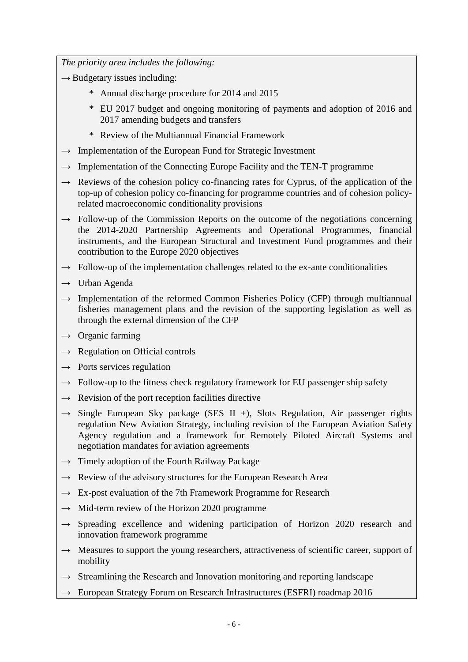- → Budgetary issues including:
	- \* Annual discharge procedure for 2014 and 2015
	- \* EU 2017 budget and ongoing monitoring of payments and adoption of 2016 and 2017 amending budgets and transfers
	- \* Review of the Multiannual Financial Framework
- **→** Implementation of the European Fund for Strategic Investment
- → Implementation of the Connecting Europe Facility and the TEN-T programme
- **→** Reviews of the cohesion policy co-financing rates for Cyprus, of the application of the top-up of cohesion policy co-financing for programme countries and of cohesion policyrelated macroeconomic conditionality provisions
- → Follow-up of the Commission Reports on the outcome of the negotiations concerning the 2014-2020 Partnership Agreements and Operational Programmes, financial instruments, and the European Structural and Investment Fund programmes and their contribution to the Europe 2020 objectives
- $\rightarrow$  Follow-up of the implementation challenges related to the ex-ante conditionalities
- **→** Urban Agenda
- → Implementation of the reformed Common Fisheries Policy (CFP) through multiannual fisheries management plans and the revision of the supporting legislation as well as through the external dimension of the CFP
- **→** Organic farming
- **→** Regulation on Official controls
- **→** Ports services regulation
- **→** Follow-up to the fitness check regulatory framework for EU passenger ship safety
- $\rightarrow$  Revision of the port reception facilities directive
- **→** Single European Sky package (SES II +), Slots Regulation, Air passenger rights regulation New Aviation Strategy, including revision of the European Aviation Safety Agency regulation and a framework for Remotely Piloted Aircraft Systems and negotiation mandates for aviation agreements
- **→** Timely adoption of the Fourth Railway Package
- $\rightarrow$  Review of the advisory structures for the European Research Area
- **→** Ex-post evaluation of the 7th Framework Programme for Research
- **→** Mid-term review of the Horizon 2020 programme
- **→** Spreading excellence and widening participation of Horizon 2020 research and innovation framework programme
- → Measures to support the young researchers, attractiveness of scientific career, support of mobility
- **→** Streamlining the Research and Innovation monitoring and reporting landscape
- **→** European Strategy Forum on Research Infrastructures (ESFRI) roadmap 2016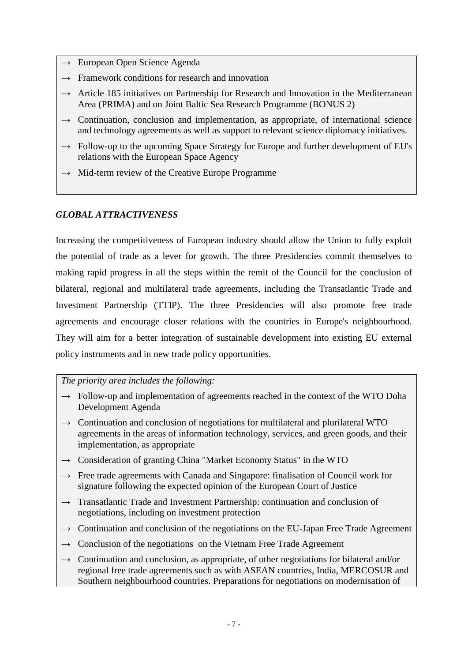- **→** European Open Science Agenda
- **→** Framework conditions for research and innovation
- **→** Article 185 initiatives on Partnership for Research and Innovation in the Mediterranean Area (PRIMA) and on Joint Baltic Sea Research Programme (BONUS 2)
- $\rightarrow$  Continuation, conclusion and implementation, as appropriate, of international science and technology agreements as well as support to relevant science diplomacy initiatives.
- → Follow-up to the upcoming Space Strategy for Europe and further development of EU's relations with the European Space Agency
- **→** Mid-term review of the Creative Europe Programme

#### *GLOBAL ATTRACTIVENESS*

Increasing the competitiveness of European industry should allow the Union to fully exploit the potential of trade as a lever for growth. The three Presidencies commit themselves to making rapid progress in all the steps within the remit of the Council for the conclusion of bilateral, regional and multilateral trade agreements, including the Transatlantic Trade and Investment Partnership (TTIP). The three Presidencies will also promote free trade agreements and encourage closer relations with the countries in Europe's neighbourhood. They will aim for a better integration of sustainable development into existing EU external policy instruments and in new trade policy opportunities.

- → Follow-up and implementation of agreements reached in the context of the WTO Doha Development Agenda
- → Continuation and conclusion of negotiations for multilateral and plurilateral WTO agreements in the areas of information technology, services, and green goods, and their implementation, as appropriate
- **→** Consideration of granting China "Market Economy Status" in the WTO
- **→** Free trade agreements with Canada and Singapore: finalisation of Council work for signature following the expected opinion of the European Court of Justice
- **→** Transatlantic Trade and Investment Partnership: continuation and conclusion of negotiations, including on investment protection
- → Continuation and conclusion of the negotiations on the EU-Japan Free Trade Agreement
- → Conclusion of the negotiations on the Vietnam Free Trade Agreement
- $\rightarrow$  Continuation and conclusion, as appropriate, of other negotiations for bilateral and/or regional free trade agreements such as with ASEAN countries, India, MERCOSUR and Southern neighbourhood countries. Preparations for negotiations on modernisation of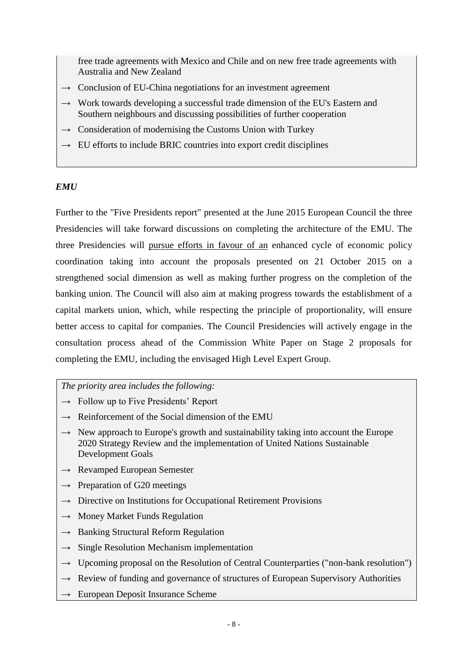free trade agreements with Mexico and Chile and on new free trade agreements with Australia and New Zealand

- → Conclusion of EU-China negotiations for an investment agreement
- **→** Work towards developing a successful trade dimension of the EU's Eastern and Southern neighbours and discussing possibilities of further cooperation
- $\rightarrow$  Consideration of modernising the Customs Union with Turkey
- $\rightarrow$  EU efforts to include BRIC countries into export credit disciplines

### *EMU*

Further to the "Five Presidents report" presented at the June 2015 European Council the three Presidencies will take forward discussions on completing the architecture of the EMU. The three Presidencies will pursue efforts in favour of an enhanced cycle of economic policy coordination taking into account the proposals presented on 21 October 2015 on a strengthened social dimension as well as making further progress on the completion of the banking union. The Council will also aim at making progress towards the establishment of a capital markets union, which, while respecting the principle of proportionality, will ensure better access to capital for companies. The Council Presidencies will actively engage in the consultation process ahead of the Commission White Paper on Stage 2 proposals for completing the EMU, including the envisaged High Level Expert Group.

*The priority area includes the following:*

**→** Follow up to Five Presidents' Report

- **→** Reinforcement of the Social dimension of the EMU
- → New approach to Europe's growth and sustainability taking into account the Europe 2020 Strategy Review and the implementation of United Nations Sustainable Development Goals
- **→** Revamped European Semester
- **→** Preparation of G20 meetings
- **→** Directive on Institutions for Occupational Retirement Provisions
- **→** Money Market Funds Regulation
- **→** Banking Structural Reform Regulation
- **→** Single Resolution Mechanism implementation
- **→** Upcoming proposal on the Resolution of Central Counterparties ("non-bank resolution")
- → Review of funding and governance of structures of European Supervisory Authorities
- **→** European Deposit Insurance Scheme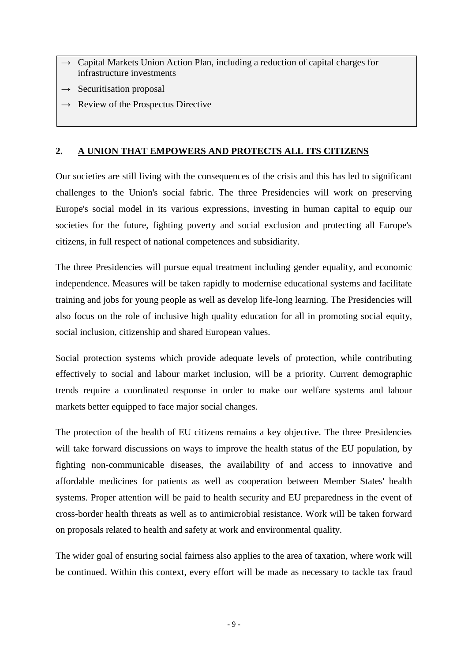- Capital Markets Union Action Plan, including a reduction of capital charges for infrastructure investments
- **→** Securitisation proposal
- **→** Review of the Prospectus Directive

### **2. A UNION THAT EMPOWERS AND PROTECTS ALL ITS CITIZENS**

Our societies are still living with the consequences of the crisis and this has led to significant challenges to the Union's social fabric. The three Presidencies will work on preserving Europe's social model in its various expressions, investing in human capital to equip our societies for the future, fighting poverty and social exclusion and protecting all Europe's citizens, in full respect of national competences and subsidiarity.

The three Presidencies will pursue equal treatment including gender equality, and economic independence. Measures will be taken rapidly to modernise educational systems and facilitate training and jobs for young people as well as develop life-long learning. The Presidencies will also focus on the role of inclusive high quality education for all in promoting social equity, social inclusion, citizenship and shared European values.

Social protection systems which provide adequate levels of protection, while contributing effectively to social and labour market inclusion, will be a priority. Current demographic trends require a coordinated response in order to make our welfare systems and labour markets better equipped to face major social changes.

The protection of the health of EU citizens remains a key objective. The three Presidencies will take forward discussions on ways to improve the health status of the EU population, by fighting non-communicable diseases, the availability of and access to innovative and affordable medicines for patients as well as cooperation between Member States' health systems. Proper attention will be paid to health security and EU preparedness in the event of cross-border health threats as well as to antimicrobial resistance. Work will be taken forward on proposals related to health and safety at work and environmental quality.

The wider goal of ensuring social fairness also applies to the area of taxation, where work will be continued. Within this context, every effort will be made as necessary to tackle tax fraud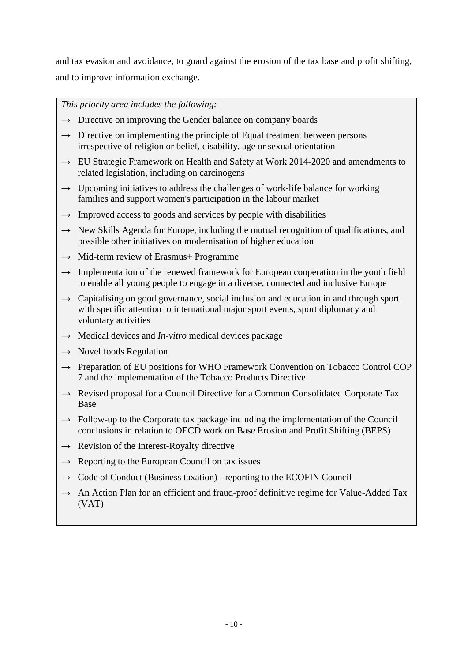and tax evasion and avoidance, to guard against the erosion of the tax base and profit shifting, and to improve information exchange.

- **→** Directive on improving the Gender balance on company boards
- $\rightarrow$  Directive on implementing the principle of Equal treatment between persons irrespective of religion or belief, disability, age or sexual orientation
- **→** EU Strategic Framework on Health and Safety at Work 2014-2020 and amendments to related legislation, including on carcinogens
- $\rightarrow$  Upcoming initiatives to address the challenges of work-life balance for working families and support women's participation in the labour market
- $\rightarrow$  Improved access to goods and services by people with disabilities
- **→** New Skills Agenda for Europe, including the mutual recognition of qualifications, and possible other initiatives on modernisation of higher education
- **→** Mid-term review of Erasmus+ Programme
- $\rightarrow$  Implementation of the renewed framework for European cooperation in the youth field to enable all young people to engage in a diverse, connected and inclusive Europe
- **→** Capitalising on good governance, social inclusion and education in and through sport with specific attention to international major sport events, sport diplomacy and voluntary activities
- **→** Medical devices and *In-vitro* medical devices package
- **→** Novel foods Regulation
- **→** Preparation of EU positions for WHO Framework Convention on Tobacco Control COP 7 and the implementation of the Tobacco Products Directive
- → Revised proposal for a Council Directive for a Common Consolidated Corporate Tax Base
- → Follow-up to the Corporate tax package including the implementation of the Council conclusions in relation to OECD work on Base Erosion and Profit Shifting (BEPS)
- **→** Revision of the Interest-Royalty directive
- $\rightarrow$  Reporting to the European Council on tax issues
- **→** Code of Conduct (Business taxation) reporting to the ECOFIN Council
- → An Action Plan for an efficient and fraud-proof definitive regime for Value-Added Tax (VAT)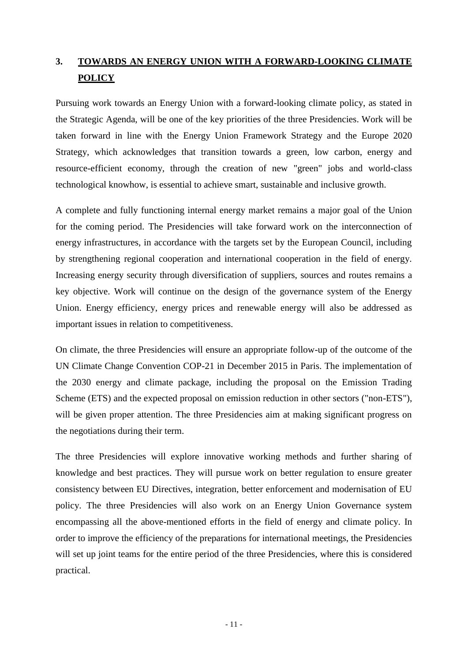# **3. TOWARDS AN ENERGY UNION WITH A FORWARD-LOOKING CLIMATE POLICY**

Pursuing work towards an Energy Union with a forward-looking climate policy, as stated in the Strategic Agenda, will be one of the key priorities of the three Presidencies. Work will be taken forward in line with the Energy Union Framework Strategy and the Europe 2020 Strategy, which acknowledges that transition towards a green, low carbon, energy and resource-efficient economy, through the creation of new "green" jobs and world-class technological knowhow, is essential to achieve smart, sustainable and inclusive growth.

A complete and fully functioning internal energy market remains a major goal of the Union for the coming period. The Presidencies will take forward work on the interconnection of energy infrastructures, in accordance with the targets set by the European Council, including by strengthening regional cooperation and international cooperation in the field of energy. Increasing energy security through diversification of suppliers, sources and routes remains a key objective. Work will continue on the design of the governance system of the Energy Union. Energy efficiency, energy prices and renewable energy will also be addressed as important issues in relation to competitiveness.

On climate, the three Presidencies will ensure an appropriate follow-up of the outcome of the UN Climate Change Convention COP-21 in December 2015 in Paris. The implementation of the 2030 energy and climate package, including the proposal on the Emission Trading Scheme (ETS) and the expected proposal on emission reduction in other sectors ("non-ETS"), will be given proper attention. The three Presidencies aim at making significant progress on the negotiations during their term.

The three Presidencies will explore innovative working methods and further sharing of knowledge and best practices. They will pursue work on better regulation to ensure greater consistency between EU Directives, integration, better enforcement and modernisation of EU policy. The three Presidencies will also work on an Energy Union Governance system encompassing all the above-mentioned efforts in the field of energy and climate policy. In order to improve the efficiency of the preparations for international meetings, the Presidencies will set up joint teams for the entire period of the three Presidencies, where this is considered practical.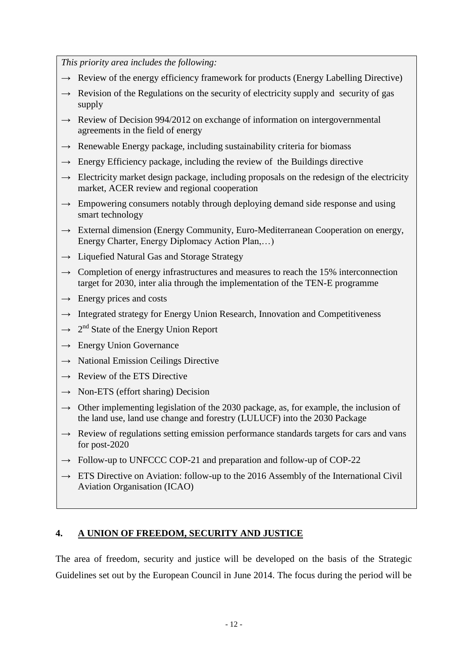*This priority area includes the following:*

- $\rightarrow$  Review of the energy efficiency framework for products (Energy Labelling Directive)
- → Revision of the Regulations on the security of electricity supply and security of gas supply
- → Review of Decision 994/2012 on exchange of information on intergovernmental agreements in the field of energy
- **→** Renewable Energy package, including sustainability criteria for biomass
- $\rightarrow$  Energy Efficiency package, including the review of the Buildings directive
- → Electricity market design package, including proposals on the redesign of the electricity market, ACER review and regional cooperation
- **→** Empowering consumers notably through deploying demand side response and using smart technology
- **→** External dimension (Energy Community, Euro-Mediterranean Cooperation on energy, Energy Charter, Energy Diplomacy Action Plan,…)
- **→** Liquefied Natural Gas and Storage Strategy
- $\rightarrow$  Completion of energy infrastructures and measures to reach the 15% interconnection target for 2030, inter alia through the implementation of the TEN-E programme
- **→** Energy prices and costs
- → Integrated strategy for Energy Union Research, Innovation and Competitiveness
- $\rightarrow$  2<sup>nd</sup> State of the Energy Union Report
- **→** Energy Union Governance
- **→** National Emission Ceilings Directive
- **→** Review of the ETS Directive
- **→** Non-ETS (effort sharing) Decision
- $\rightarrow$  Other implementing legislation of the 2030 package, as, for example, the inclusion of the land use, land use change and forestry (LULUCF) into the 2030 Package
- → Review of regulations setting emission performance standards targets for cars and vans for post-2020
- **→** Follow-up to UNFCCC COP-21 and preparation and follow-up of COP-22
- → ETS Directive on Aviation: follow-up to the 2016 Assembly of the International Civil Aviation Organisation (ICAO)

#### **4. A UNION OF FREEDOM, SECURITY AND JUSTICE**

The area of freedom, security and justice will be developed on the basis of the Strategic Guidelines set out by the European Council in June 2014. The focus during the period will be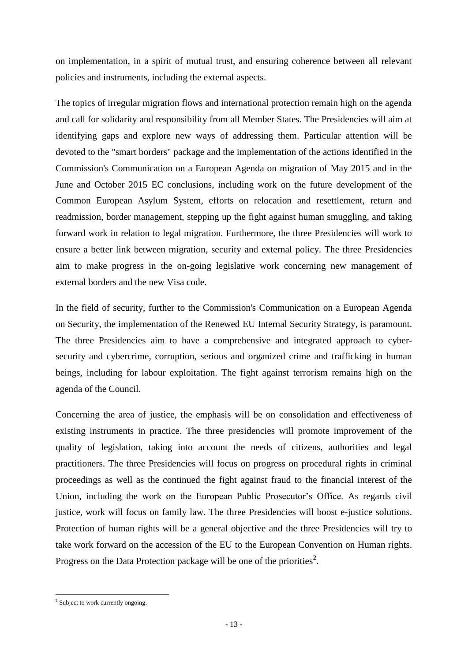on implementation, in a spirit of mutual trust, and ensuring coherence between all relevant policies and instruments, including the external aspects.

The topics of irregular migration flows and international protection remain high on the agenda and call for solidarity and responsibility from all Member States. The Presidencies will aim at identifying gaps and explore new ways of addressing them. Particular attention will be devoted to the "smart borders" package and the implementation of the actions identified in the Commission's Communication on a European Agenda on migration of May 2015 and in the June and October 2015 EC conclusions, including work on the future development of the Common European Asylum System, efforts on relocation and resettlement, return and readmission, border management, stepping up the fight against human smuggling, and taking forward work in relation to legal migration. Furthermore, the three Presidencies will work to ensure a better link between migration, security and external policy. The three Presidencies aim to make progress in the on-going legislative work concerning new management of external borders and the new Visa code.

In the field of security, further to the Commission's Communication on a European Agenda on Security, the implementation of the Renewed EU Internal Security Strategy, is paramount. The three Presidencies aim to have a comprehensive and integrated approach to cybersecurity and cybercrime, corruption, serious and organized crime and trafficking in human beings, including for labour exploitation. The fight against terrorism remains high on the agenda of the Council.

Concerning the area of justice, the emphasis will be on consolidation and effectiveness of existing instruments in practice. The three presidencies will promote improvement of the quality of legislation, taking into account the needs of citizens, authorities and legal practitioners. The three Presidencies will focus on progress on procedural rights in criminal proceedings as well as the continued the fight against fraud to the financial interest of the Union, including the work on the European Public Prosecutor's Office. As regards civil justice, work will focus on family law. The three Presidencies will boost e-justice solutions. Protection of human rights will be a general objective and the three Presidencies will try to take work forward on the accession of the EU to the European Convention on Human rights. Progress on the Data Protection package will be one of the priorities<sup>2</sup>.

 **2** Subject to work currently ongoing.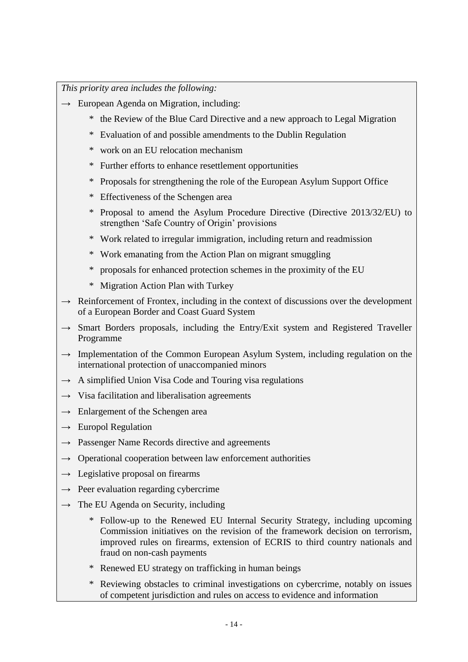- **→** European Agenda on Migration, including:
	- \* the Review of the Blue Card Directive and a new approach to Legal Migration
	- \* Evaluation of and possible amendments to the Dublin Regulation
	- \* work on an EU relocation mechanism
	- \* Further efforts to enhance resettlement opportunities
	- \* Proposals for strengthening the role of the European Asylum Support Office
	- \* Effectiveness of the Schengen area
	- \* Proposal to amend the Asylum Procedure Directive (Directive 2013/32/EU) to strengthen 'Safe Country of Origin' provisions
	- \* Work related to irregular immigration, including return and readmission
	- \* Work emanating from the Action Plan on migrant smuggling
	- \* proposals for enhanced protection schemes in the proximity of the EU
	- \* Migration Action Plan with Turkey
- **→** Reinforcement of Frontex, including in the context of discussions over the development of a European Border and Coast Guard System
- → Smart Borders proposals, including the Entry/Exit system and Registered Traveller Programme
- → Implementation of the Common European Asylum System, including regulation on the international protection of unaccompanied minors
- **→** A simplified Union Visa Code and Touring visa regulations
- **→** Visa facilitation and liberalisation agreements
- **→** Enlargement of the Schengen area
- **→** Europol Regulation
- **→** Passenger Name Records directive and agreements
- $\rightarrow$  Operational cooperation between law enforcement authorities
- **→** Legislative proposal on firearms
- **→** Peer evaluation regarding cybercrime
- **→** The EU Agenda on Security, including
	- \* Follow-up to the Renewed EU Internal Security Strategy, including upcoming Commission initiatives on the revision of the framework decision on terrorism, improved rules on firearms, extension of ECRIS to third country nationals and fraud on non-cash payments
	- \* Renewed EU strategy on trafficking in human beings
	- \* Reviewing obstacles to criminal investigations on cybercrime, notably on issues of competent jurisdiction and rules on access to evidence and information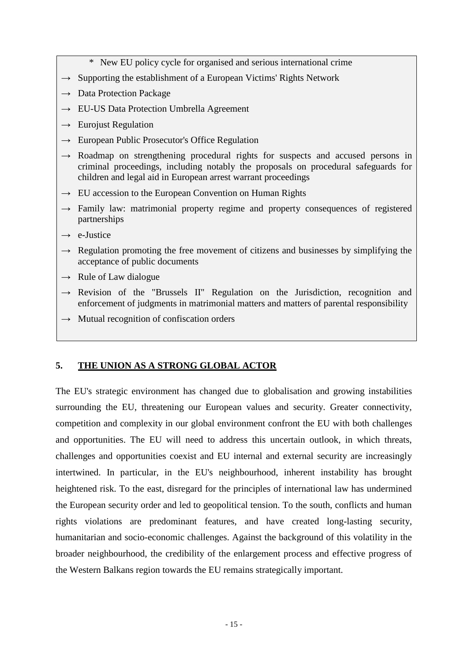- \* New EU policy cycle for organised and serious international crime
- **→** Supporting the establishment of a European Victims' Rights Network
- **→** Data Protection Package
- **→** EU-US Data Protection Umbrella Agreement
- **→** Eurojust Regulation
- **→** European Public Prosecutor's Office Regulation
- **→** Roadmap on strengthening procedural rights for suspects and accused persons in criminal proceedings, including notably the proposals on procedural safeguards for children and legal aid in European arrest warrant proceedings
- **→** EU accession to the European Convention on Human Rights
- **→** Family law: matrimonial property regime and property consequences of registered partnerships
- **→** e-Justice
- **→** Regulation promoting the free movement of citizens and businesses by simplifying the acceptance of public documents
- **→** Rule of Law dialogue
- **→** Revision of the "Brussels II" Regulation on the Jurisdiction, recognition and enforcement of judgments in matrimonial matters and matters of parental responsibility
- **→** Mutual recognition of confiscation orders

## **5. THE UNION AS A STRONG GLOBAL ACTOR**

The EU's strategic environment has changed due to globalisation and growing instabilities surrounding the EU, threatening our European values and security. Greater connectivity, competition and complexity in our global environment confront the EU with both challenges and opportunities. The EU will need to address this uncertain outlook, in which threats, challenges and opportunities coexist and EU internal and external security are increasingly intertwined. In particular, in the EU's neighbourhood, inherent instability has brought heightened risk. To the east, disregard for the principles of international law has undermined the European security order and led to geopolitical tension. To the south, conflicts and human rights violations are predominant features, and have created long-lasting security, humanitarian and socio-economic challenges. Against the background of this volatility in the broader neighbourhood, the credibility of the enlargement process and effective progress of the Western Balkans region towards the EU remains strategically important.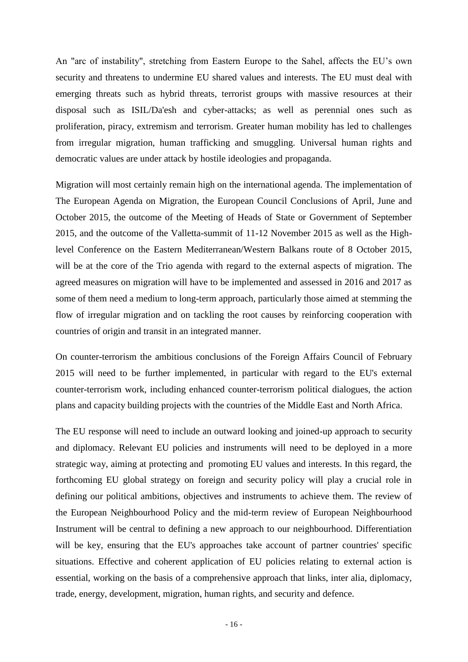An "arc of instability", stretching from Eastern Europe to the Sahel, affects the EU's own security and threatens to undermine EU shared values and interests. The EU must deal with emerging threats such as hybrid threats, terrorist groups with massive resources at their disposal such as ISIL/Da'esh and cyber-attacks; as well as perennial ones such as proliferation, piracy, extremism and terrorism. Greater human mobility has led to challenges from irregular migration, human trafficking and smuggling. Universal human rights and democratic values are under attack by hostile ideologies and propaganda.

Migration will most certainly remain high on the international agenda. The implementation of The European Agenda on Migration, the European Council Conclusions of April, June and October 2015, the outcome of the Meeting of Heads of State or Government of September 2015, and the outcome of the Valletta-summit of 11-12 November 2015 as well as the Highlevel Conference on the Eastern Mediterranean/Western Balkans route of 8 October 2015, will be at the core of the Trio agenda with regard to the external aspects of migration. The agreed measures on migration will have to be implemented and assessed in 2016 and 2017 as some of them need a medium to long-term approach, particularly those aimed at stemming the flow of irregular migration and on tackling the root causes by reinforcing cooperation with countries of origin and transit in an integrated manner.

On counter-terrorism the ambitious conclusions of the Foreign Affairs Council of February 2015 will need to be further implemented, in particular with regard to the EU's external counter-terrorism work, including enhanced counter-terrorism political dialogues, the action plans and capacity building projects with the countries of the Middle East and North Africa.

The EU response will need to include an outward looking and joined-up approach to security and diplomacy. Relevant EU policies and instruments will need to be deployed in a more strategic way, aiming at protecting and promoting EU values and interests. In this regard, the forthcoming EU global strategy on foreign and security policy will play a crucial role in defining our political ambitions, objectives and instruments to achieve them. The review of the European Neighbourhood Policy and the mid-term review of European Neighbourhood Instrument will be central to defining a new approach to our neighbourhood. Differentiation will be key, ensuring that the EU's approaches take account of partner countries' specific situations. Effective and coherent application of EU policies relating to external action is essential, working on the basis of a comprehensive approach that links, inter alia, diplomacy, trade, energy, development, migration, human rights, and security and defence.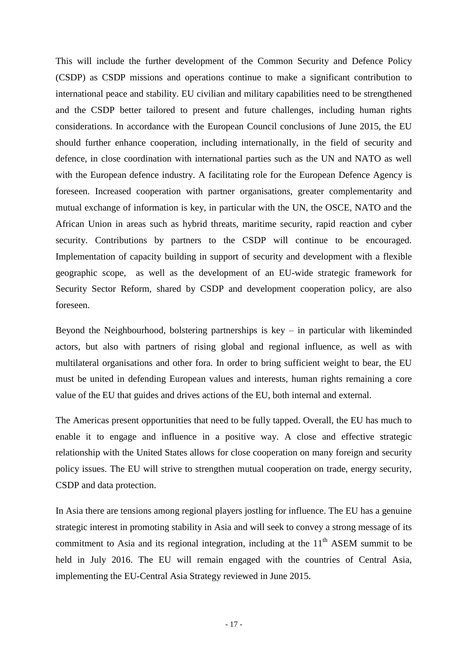This will include the further development of the Common Security and Defence Policy (CSDP) as CSDP missions and operations continue to make a significant contribution to international peace and stability. EU civilian and military capabilities need to be strengthened and the CSDP better tailored to present and future challenges, including human rights considerations. In accordance with the European Council conclusions of June 2015, the EU should further enhance cooperation, including internationally, in the field of security and defence, in close coordination with international parties such as the UN and NATO as well with the European defence industry. A facilitating role for the European Defence Agency is foreseen. Increased cooperation with partner organisations, greater complementarity and mutual exchange of information is key, in particular with the UN, the OSCE, NATO and the African Union in areas such as hybrid threats, maritime security, rapid reaction and cyber security. Contributions by partners to the CSDP will continue to be encouraged. Implementation of capacity building in support of security and development with a flexible geographic scope, as well as the development of an EU-wide strategic framework for Security Sector Reform, shared by CSDP and development cooperation policy, are also foreseen.

Beyond the Neighbourhood, bolstering partnerships is  $key - in$  particular with likeminded actors, but also with partners of rising global and regional influence, as well as with multilateral organisations and other fora. In order to bring sufficient weight to bear, the EU must be united in defending European values and interests, human rights remaining a core value of the EU that guides and drives actions of the EU, both internal and external.

The Americas present opportunities that need to be fully tapped. Overall, the EU has much to enable it to engage and influence in a positive way. A close and effective strategic relationship with the United States allows for close cooperation on many foreign and security policy issues. The EU will strive to strengthen mutual cooperation on trade, energy security, CSDP and data protection.

In Asia there are tensions among regional players jostling for influence. The EU has a genuine strategic interest in promoting stability in Asia and will seek to convey a strong message of its commitment to Asia and its regional integration, including at the  $11<sup>th</sup>$  ASEM summit to be held in July 2016. The EU will remain engaged with the countries of Central Asia, implementing the EU-Central Asia Strategy reviewed in June 2015.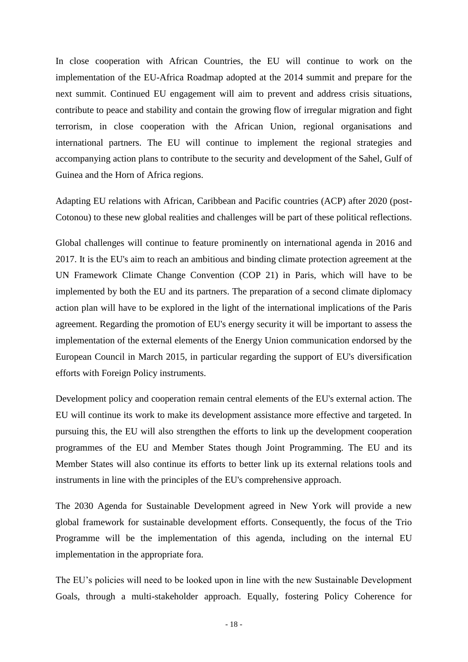In close cooperation with African Countries, the EU will continue to work on the implementation of the EU-Africa Roadmap adopted at the 2014 summit and prepare for the next summit. Continued EU engagement will aim to prevent and address crisis situations, contribute to peace and stability and contain the growing flow of irregular migration and fight terrorism, in close cooperation with the African Union, regional organisations and international partners. The EU will continue to implement the regional strategies and accompanying action plans to contribute to the security and development of the Sahel, Gulf of Guinea and the Horn of Africa regions.

Adapting EU relations with African, Caribbean and Pacific countries (ACP) after 2020 (post-Cotonou) to these new global realities and challenges will be part of these political reflections.

Global challenges will continue to feature prominently on international agenda in 2016 and 2017. It is the EU's aim to reach an ambitious and binding climate protection agreement at the UN Framework Climate Change Convention (COP 21) in Paris, which will have to be implemented by both the EU and its partners. The preparation of a second climate diplomacy action plan will have to be explored in the light of the international implications of the Paris agreement. Regarding the promotion of EU's energy security it will be important to assess the implementation of the external elements of the Energy Union communication endorsed by the European Council in March 2015, in particular regarding the support of EU's diversification efforts with Foreign Policy instruments.

Development policy and cooperation remain central elements of the EU's external action. The EU will continue its work to make its development assistance more effective and targeted. In pursuing this, the EU will also strengthen the efforts to link up the development cooperation programmes of the EU and Member States though Joint Programming. The EU and its Member States will also continue its efforts to better link up its external relations tools and instruments in line with the principles of the EU's comprehensive approach.

The 2030 Agenda for Sustainable Development agreed in New York will provide a new global framework for sustainable development efforts. Consequently, the focus of the Trio Programme will be the implementation of this agenda, including on the internal EU implementation in the appropriate fora.

The EU's policies will need to be looked upon in line with the new Sustainable Development Goals, through a multi-stakeholder approach. Equally, fostering Policy Coherence for